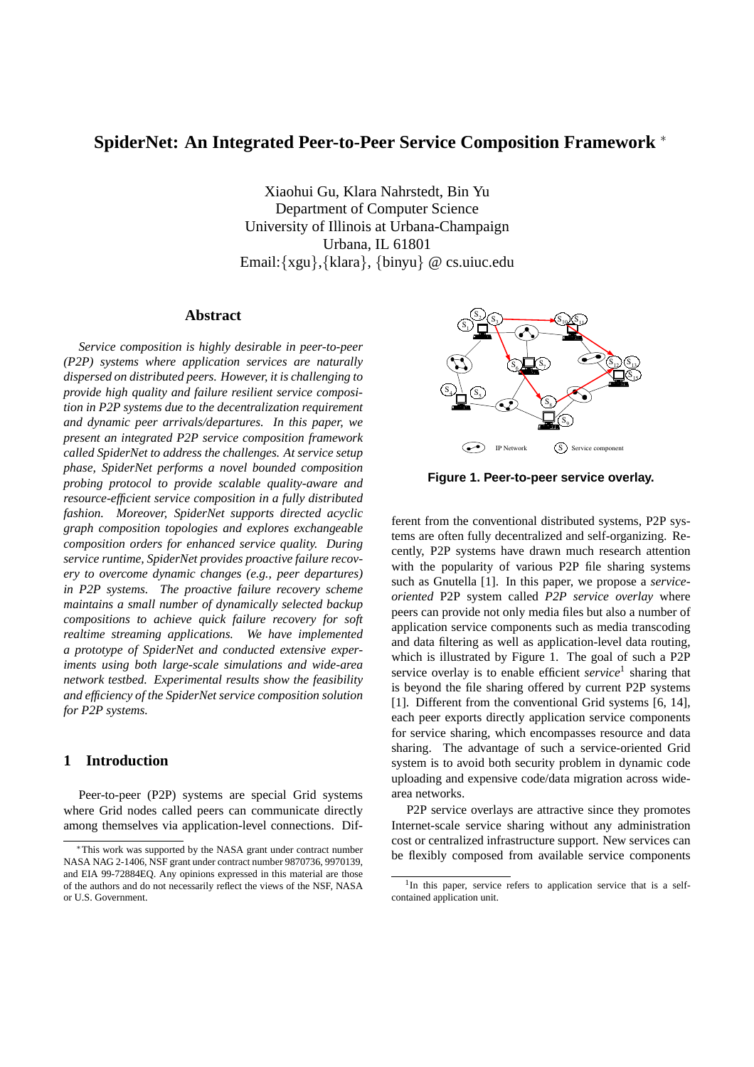# **SpiderNet: An Integrated Peer-to-Peer Service Composition Framework** <sup>∗</sup>

Xiaohui Gu, Klara Nahrstedt, Bin Yu Department of Computer Science University of Illinois at Urbana-Champaign Urbana, IL 61801 Email:{xgu},{klara}, {binyu} @ cs.uiuc.edu

# **Abstract**

*Service composition is highly desirable in peer-to-peer (P2P) systems where application services are naturally dispersed on distributed peers. However, it is challenging to provide high quality and failure resilient service composition in P2P systems due to the decentralization requirement and dynamic peer arrivals/departures. In this paper, we present an integrated P2P service composition framework called SpiderNet to address the challenges. At service setup phase, SpiderNet performs a novel bounded composition probing protocol to provide scalable quality-aware and resource-efficient service composition in a fully distributed fashion. Moreover, SpiderNet supports directed acyclic graph composition topologies and explores exchangeable composition orders for enhanced service quality. During service runtime, SpiderNet provides proactive failure recovery to overcome dynamic changes (e.g., peer departures) in P2P systems. The proactive failure recovery scheme maintains a small number of dynamically selected backup compositions to achieve quick failure recovery for soft realtime streaming applications. We have implemented a prototype of SpiderNet and conducted extensive experiments using both large-scale simulations and wide-area network testbed. Experimental results show the feasibility and efficiency of the SpiderNet service composition solution for P2P systems.*

### **1 Introduction**

Peer-to-peer (P2P) systems are special Grid systems where Grid nodes called peers can communicate directly among themselves via application-level connections. Dif-



**Figure 1. Peer-to-peer service overlay.**

ferent from the conventional distributed systems, P2P systems are often fully decentralized and self-organizing. Recently, P2P systems have drawn much research attention with the popularity of various P2P file sharing systems such as Gnutella [1]. In this paper, we propose a *serviceoriented* P2P system called *P2P service overlay* where peers can provide not only media files but also a number of application service components such as media transcoding and data filtering as well as application-level data routing, which is illustrated by Figure 1. The goal of such a P2P service overlay is to enable efficient *service*<sup>1</sup> sharing that is beyond the file sharing offered by current P2P systems [1]. Different from the conventional Grid systems [6, 14], each peer exports directly application service components for service sharing, which encompasses resource and data sharing. The advantage of such a service-oriented Grid system is to avoid both security problem in dynamic code uploading and expensive code/data migration across widearea networks.

P2P service overlays are attractive since they promotes Internet-scale service sharing without any administration cost or centralized infrastructure support. New services can be flexibly composed from available service components

<sup>∗</sup>This work was supported by the NASA grant under contract number NASA NAG 2-1406, NSF grant under contract number 9870736, 9970139, and EIA 99-72884EQ. Any opinions expressed in this material are those of the authors and do not necessarily reflect the views of the NSF, NASA or U.S. Government.

<sup>&</sup>lt;sup>1</sup>In this paper, service refers to application service that is a selfcontained application unit.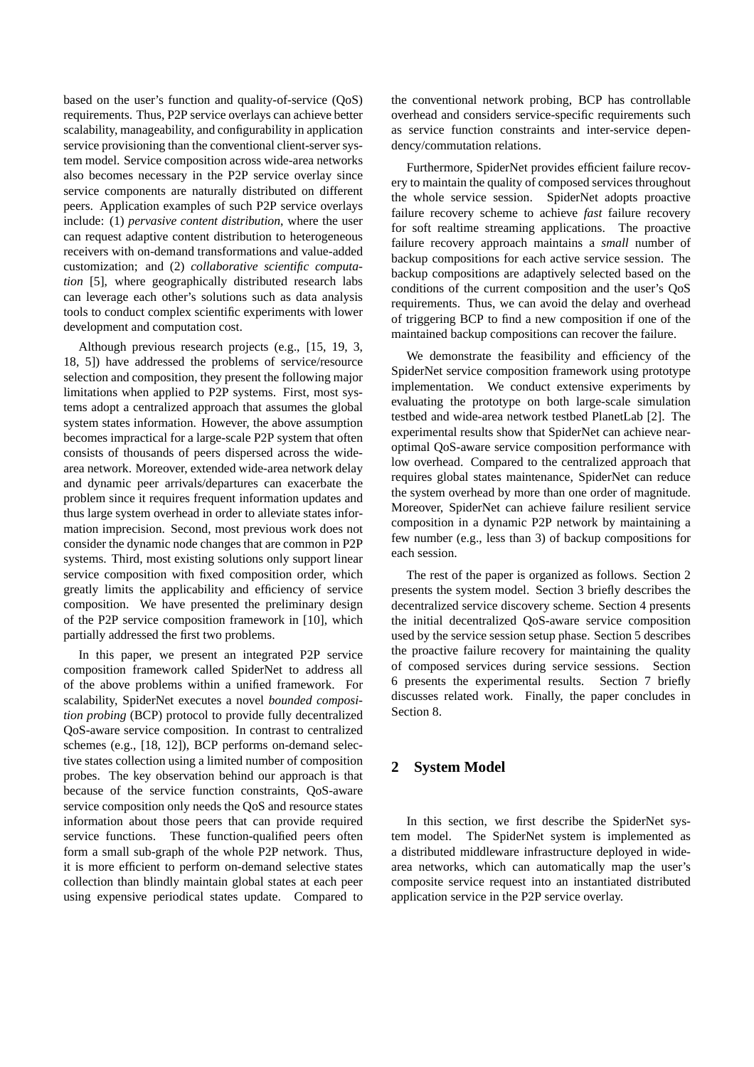based on the user's function and quality-of-service (QoS) requirements. Thus, P2P service overlays can achieve better scalability, manageability, and configurability in application service provisioning than the conventional client-server system model. Service composition across wide-area networks also becomes necessary in the P2P service overlay since service components are naturally distributed on different peers. Application examples of such P2P service overlays include: (1) *pervasive content distribution*, where the user can request adaptive content distribution to heterogeneous receivers with on-demand transformations and value-added customization; and (2) *collaborative scientific computation* [5], where geographically distributed research labs can leverage each other's solutions such as data analysis tools to conduct complex scientific experiments with lower development and computation cost.

Although previous research projects (e.g., [15, 19, 3, 18, 5]) have addressed the problems of service/resource selection and composition, they present the following major limitations when applied to P2P systems. First, most systems adopt a centralized approach that assumes the global system states information. However, the above assumption becomes impractical for a large-scale P2P system that often consists of thousands of peers dispersed across the widearea network. Moreover, extended wide-area network delay and dynamic peer arrivals/departures can exacerbate the problem since it requires frequent information updates and thus large system overhead in order to alleviate states information imprecision. Second, most previous work does not consider the dynamic node changes that are common in P2P systems. Third, most existing solutions only support linear service composition with fixed composition order, which greatly limits the applicability and efficiency of service composition. We have presented the preliminary design of the P2P service composition framework in [10], which partially addressed the first two problems.

In this paper, we present an integrated P2P service composition framework called SpiderNet to address all of the above problems within a unified framework. For scalability, SpiderNet executes a novel *bounded composition probing* (BCP) protocol to provide fully decentralized QoS-aware service composition. In contrast to centralized schemes (e.g., [18, 12]), BCP performs on-demand selective states collection using a limited number of composition probes. The key observation behind our approach is that because of the service function constraints, QoS-aware service composition only needs the QoS and resource states information about those peers that can provide required service functions. These function-qualified peers often form a small sub-graph of the whole P2P network. Thus, it is more efficient to perform on-demand selective states collection than blindly maintain global states at each peer using expensive periodical states update. Compared to the conventional network probing, BCP has controllable overhead and considers service-specific requirements such as service function constraints and inter-service dependency/commutation relations.

Furthermore, SpiderNet provides efficient failure recovery to maintain the quality of composed services throughout the whole service session. SpiderNet adopts proactive failure recovery scheme to achieve *fast* failure recovery for soft realtime streaming applications. The proactive failure recovery approach maintains a *small* number of backup compositions for each active service session. The backup compositions are adaptively selected based on the conditions of the current composition and the user's QoS requirements. Thus, we can avoid the delay and overhead of triggering BCP to find a new composition if one of the maintained backup compositions can recover the failure.

We demonstrate the feasibility and efficiency of the SpiderNet service composition framework using prototype implementation. We conduct extensive experiments by evaluating the prototype on both large-scale simulation testbed and wide-area network testbed PlanetLab [2]. The experimental results show that SpiderNet can achieve nearoptimal QoS-aware service composition performance with low overhead. Compared to the centralized approach that requires global states maintenance, SpiderNet can reduce the system overhead by more than one order of magnitude. Moreover, SpiderNet can achieve failure resilient service composition in a dynamic P2P network by maintaining a few number (e.g., less than 3) of backup compositions for each session.

The rest of the paper is organized as follows. Section 2 presents the system model. Section 3 briefly describes the decentralized service discovery scheme. Section 4 presents the initial decentralized QoS-aware service composition used by the service session setup phase. Section 5 describes the proactive failure recovery for maintaining the quality of composed services during service sessions. Section 6 presents the experimental results. Section 7 briefly discusses related work. Finally, the paper concludes in Section 8.

# **2 System Model**

In this section, we first describe the SpiderNet system model. The SpiderNet system is implemented as a distributed middleware infrastructure deployed in widearea networks, which can automatically map the user's composite service request into an instantiated distributed application service in the P2P service overlay.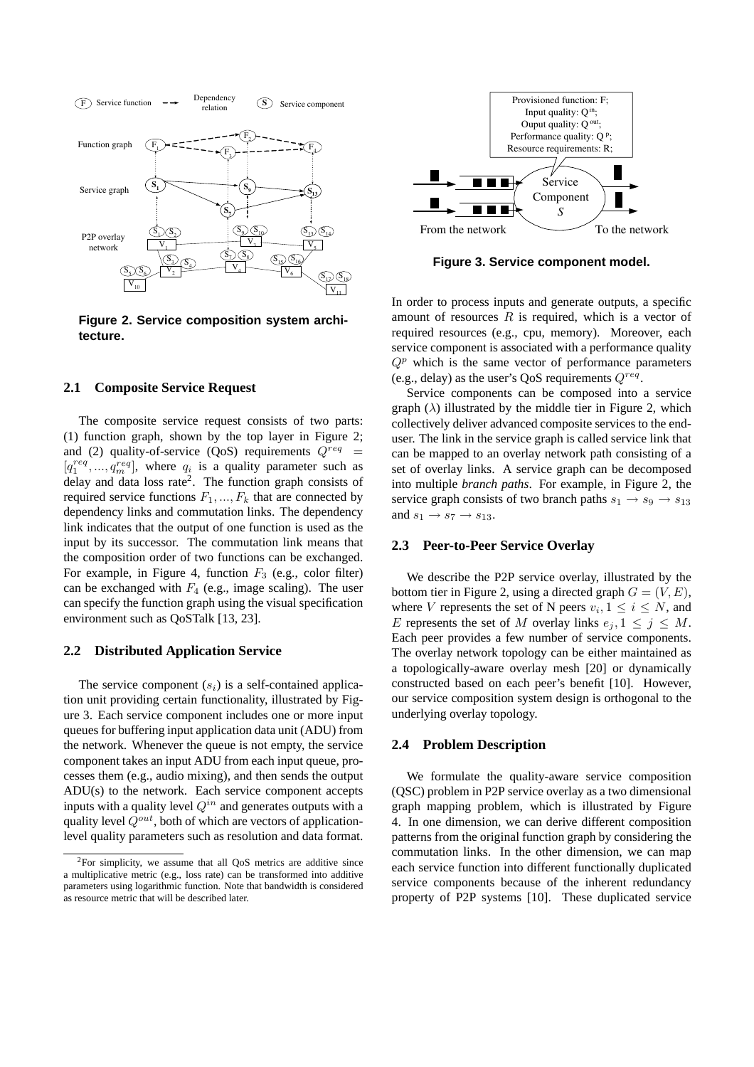

**Figure 2. Service composition system architecture.**

#### **2.1 Composite Service Request**

The composite service request consists of two parts: (1) function graph, shown by the top layer in Figure 2; and (2) quality-of-service (QoS) requirements  $Q^{req}$  =  $[q_1^{req}, ..., q_m^{req}]$ , where  $q_i$  is a quality parameter such as delay and data loss rate<sup>2</sup>. The function graph consists of required service functions  $F_1, ..., F_k$  that are connected by dependency links and commutation links. The dependency link indicates that the output of one function is used as the input by its successor. The commutation link means that the composition order of two functions can be exchanged. For example, in Figure 4, function  $F_3$  (e.g., color filter) can be exchanged with  $F_4$  (e.g., image scaling). The user can specify the function graph using the visual specification environment such as QoSTalk [13, 23].

### **2.2 Distributed Application Service**

The service component  $(s_i)$  is a self-contained application unit providing certain functionality, illustrated by Figure 3. Each service component includes one or more input queues for buffering input application data unit (ADU) from the network. Whenever the queue is not empty, the service component takes an input ADU from each input queue, processes them (e.g., audio mixing), and then sends the output ADU(s) to the network. Each service component accepts inputs with a quality level  $Q^{in}$  and generates outputs with a quality level  $Q^{out}$ , both of which are vectors of applicationlevel quality parameters such as resolution and data format.



**Figure 3. Service component model.**

In order to process inputs and generate outputs, a specific amount of resources  $R$  is required, which is a vector of required resources (e.g., cpu, memory). Moreover, each service component is associated with a performance quality  $Q<sup>p</sup>$  which is the same vector of performance parameters (e.g., delay) as the user's QoS requirements  $Q^{req}$ .

Service components can be composed into a service graph  $(\lambda)$  illustrated by the middle tier in Figure 2, which collectively deliver advanced composite services to the enduser. The link in the service graph is called service link that can be mapped to an overlay network path consisting of a set of overlay links. A service graph can be decomposed into multiple *branch paths*. For example, in Figure 2, the service graph consists of two branch paths  $s_1 \rightarrow s_9 \rightarrow s_{13}$ and  $s_1 \rightarrow s_7 \rightarrow s_{13}$ .

### **2.3 Peer-to-Peer Service Overlay**

We describe the P2P service overlay, illustrated by the bottom tier in Figure 2, using a directed graph  $G = (V, E)$ , where V represents the set of N peers  $v_i, 1 \le i \le N$ , and E represents the set of M overlay links  $e_j, 1 \leq j \leq M$ . Each peer provides a few number of service components. The overlay network topology can be either maintained as a topologically-aware overlay mesh [20] or dynamically constructed based on each peer's benefit [10]. However, our service composition system design is orthogonal to the underlying overlay topology.

# **2.4 Problem Description**

We formulate the quality-aware service composition (QSC) problem in P2P service overlay as a two dimensional graph mapping problem, which is illustrated by Figure 4. In one dimension, we can derive different composition patterns from the original function graph by considering the commutation links. In the other dimension, we can map each service function into different functionally duplicated service components because of the inherent redundancy property of P2P systems [10]. These duplicated service

 ${}^{2}$ For simplicity, we assume that all QoS metrics are additive since a multiplicative metric (e.g., loss rate) can be transformed into additive parameters using logarithmic function. Note that bandwidth is considered as resource metric that will be described later.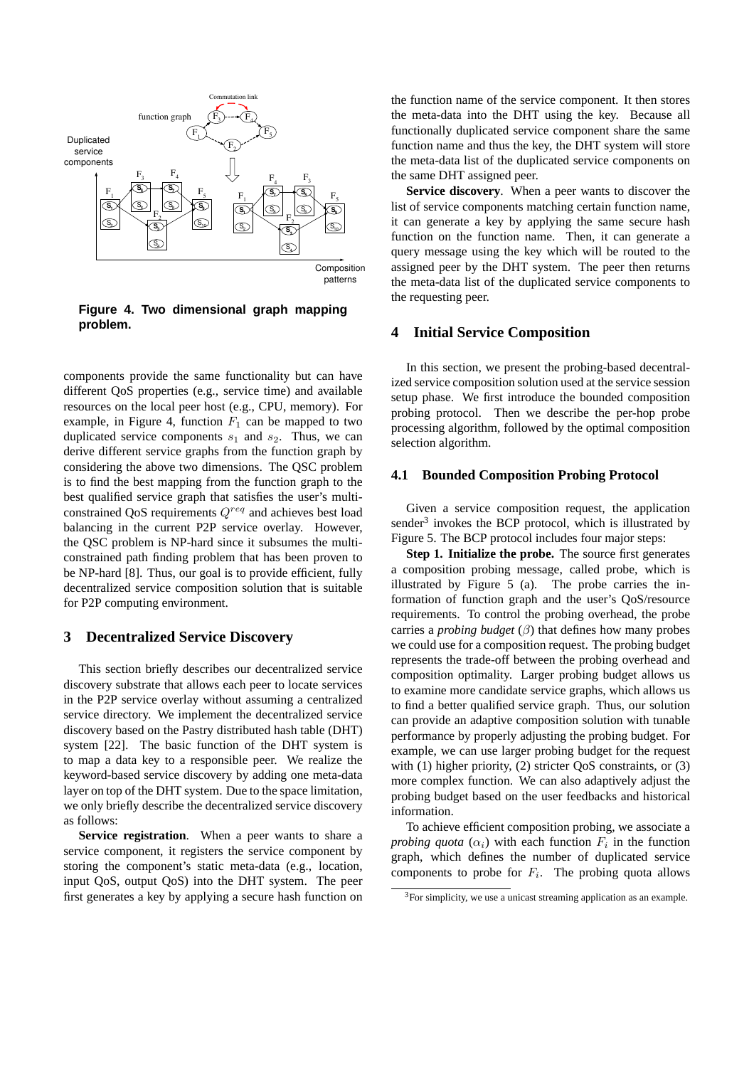

**Figure 4. Two dimensional graph mapping problem.**

components provide the same functionality but can have different QoS properties (e.g., service time) and available resources on the local peer host (e.g., CPU, memory). For example, in Figure 4, function  $F_1$  can be mapped to two duplicated service components  $s_1$  and  $s_2$ . Thus, we can derive different service graphs from the function graph by considering the above two dimensions. The QSC problem is to find the best mapping from the function graph to the best qualified service graph that satisfies the user's multiconstrained QoS requirements  $Q^{req}$  and achieves best load balancing in the current P2P service overlay. However, the QSC problem is NP-hard since it subsumes the multiconstrained path finding problem that has been proven to be NP-hard [8]. Thus, our goal is to provide efficient, fully decentralized service composition solution that is suitable for P2P computing environment.

# **3 Decentralized Service Discovery**

This section briefly describes our decentralized service discovery substrate that allows each peer to locate services in the P2P service overlay without assuming a centralized service directory. We implement the decentralized service discovery based on the Pastry distributed hash table (DHT) system [22]. The basic function of the DHT system is to map a data key to a responsible peer. We realize the keyword-based service discovery by adding one meta-data layer on top of the DHT system. Due to the space limitation, we only briefly describe the decentralized service discovery as follows:

**Service registration**. When a peer wants to share a service component, it registers the service component by storing the component's static meta-data (e.g., location, input QoS, output QoS) into the DHT system. The peer first generates a key by applying a secure hash function on the function name of the service component. It then stores the meta-data into the DHT using the key. Because all functionally duplicated service component share the same function name and thus the key, the DHT system will store the meta-data list of the duplicated service components on the same DHT assigned peer.

**Service discovery**. When a peer wants to discover the list of service components matching certain function name, it can generate a key by applying the same secure hash function on the function name. Then, it can generate a query message using the key which will be routed to the assigned peer by the DHT system. The peer then returns the meta-data list of the duplicated service components to the requesting peer.

### **4 Initial Service Composition**

In this section, we present the probing-based decentralized service composition solution used at the service session setup phase. We first introduce the bounded composition probing protocol. Then we describe the per-hop probe processing algorithm, followed by the optimal composition selection algorithm.

#### **4.1 Bounded Composition Probing Protocol**

Given a service composition request, the application sender<sup>3</sup> invokes the BCP protocol, which is illustrated by Figure 5. The BCP protocol includes four major steps:

**Step 1. Initialize the probe.** The source first generates a composition probing message, called probe, which is illustrated by Figure 5 (a). The probe carries the information of function graph and the user's QoS/resource requirements. To control the probing overhead, the probe carries a *probing budget*  $(\beta)$  that defines how many probes we could use for a composition request. The probing budget represents the trade-off between the probing overhead and composition optimality. Larger probing budget allows us to examine more candidate service graphs, which allows us to find a better qualified service graph. Thus, our solution can provide an adaptive composition solution with tunable performance by properly adjusting the probing budget. For example, we can use larger probing budget for the request with (1) higher priority, (2) stricter QoS constraints, or (3) more complex function. We can also adaptively adjust the probing budget based on the user feedbacks and historical information.

To achieve efficient composition probing, we associate a *probing quota*  $(\alpha_i)$  with each function  $F_i$  in the function graph, which defines the number of duplicated service components to probe for  $F_i$ . The probing quota allows

 $3$ For simplicity, we use a unicast streaming application as an example.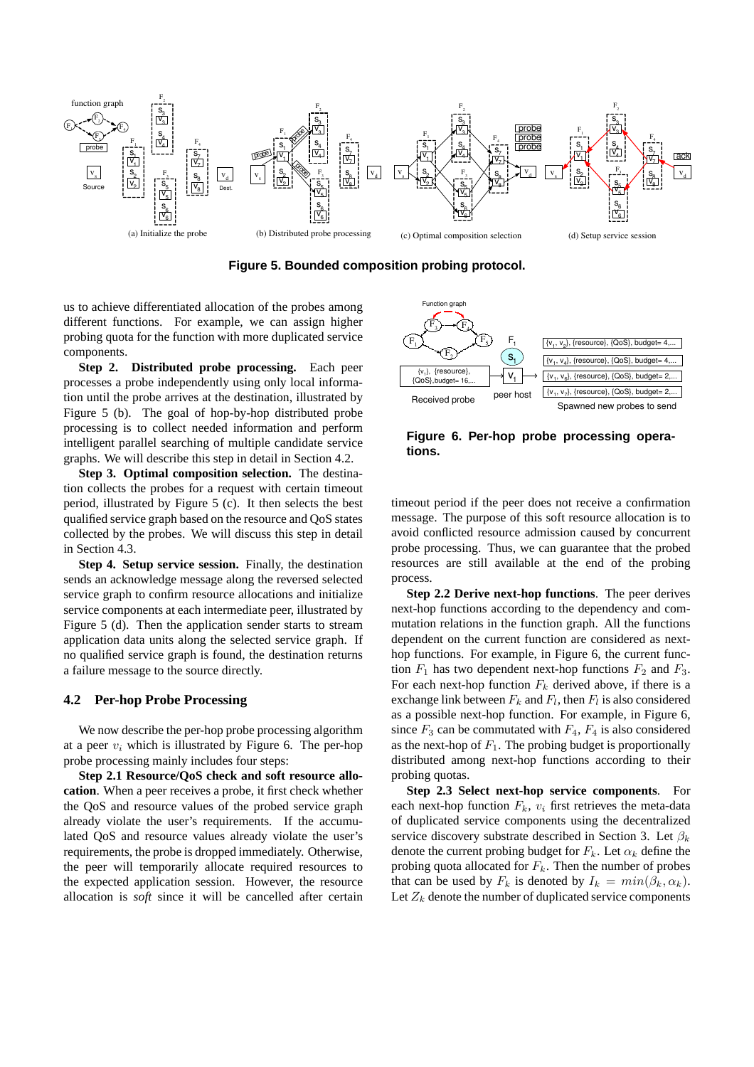

**Figure 5. Bounded composition probing protocol.**

us to achieve differentiated allocation of the probes among different functions. For example, we can assign higher probing quota for the function with more duplicated service components.

**Step 2. Distributed probe processing.** Each peer processes a probe independently using only local information until the probe arrives at the destination, illustrated by Figure 5 (b). The goal of hop-by-hop distributed probe processing is to collect needed information and perform intelligent parallel searching of multiple candidate service graphs. We will describe this step in detail in Section 4.2.

**Step 3. Optimal composition selection.** The destination collects the probes for a request with certain timeout period, illustrated by Figure 5 (c). It then selects the best qualified service graph based on the resource and QoS states collected by the probes. We will discuss this step in detail in Section 4.3.

**Step 4. Setup service session.** Finally, the destination sends an acknowledge message along the reversed selected service graph to confirm resource allocations and initialize service components at each intermediate peer, illustrated by Figure 5 (d). Then the application sender starts to stream application data units along the selected service graph. If no qualified service graph is found, the destination returns a failure message to the source directly.

#### **4.2 Per-hop Probe Processing**

We now describe the per-hop probe processing algorithm at a peer  $v_i$  which is illustrated by Figure 6. The per-hop probe processing mainly includes four steps:

**Step 2.1 Resource/QoS check and soft resource allocation**. When a peer receives a probe, it first check whether the QoS and resource values of the probed service graph already violate the user's requirements. If the accumulated QoS and resource values already violate the user's requirements, the probe is dropped immediately. Otherwise, the peer will temporarily allocate required resources to the expected application session. However, the resource allocation is *soft* since it will be cancelled after certain



**Figure 6. Per-hop probe processing operations.**

timeout period if the peer does not receive a confirmation message. The purpose of this soft resource allocation is to avoid conflicted resource admission caused by concurrent probe processing. Thus, we can guarantee that the probed resources are still available at the end of the probing process.

**Step 2.2 Derive next-hop functions**. The peer derives next-hop functions according to the dependency and commutation relations in the function graph. All the functions dependent on the current function are considered as nexthop functions. For example, in Figure 6, the current function  $F_1$  has two dependent next-hop functions  $F_2$  and  $F_3$ . For each next-hop function  $F_k$  derived above, if there is a exchange link between  $F_k$  and  $F_l$ , then  $F_l$  is also considered as a possible next-hop function. For example, in Figure 6, since  $F_3$  can be commutated with  $F_4$ ,  $F_4$  is also considered as the next-hop of  $F_1$ . The probing budget is proportionally distributed among next-hop functions according to their probing quotas.

**Step 2.3 Select next-hop service components**. For each next-hop function  $F_k$ ,  $v_i$  first retrieves the meta-data of duplicated service components using the decentralized service discovery substrate described in Section 3. Let  $\beta_k$ denote the current probing budget for  $F_k$ . Let  $\alpha_k$  define the probing quota allocated for  $F_k$ . Then the number of probes that can be used by  $F_k$  is denoted by  $I_k = min(\beta_k, \alpha_k)$ . Let  $Z_k$  denote the number of duplicated service components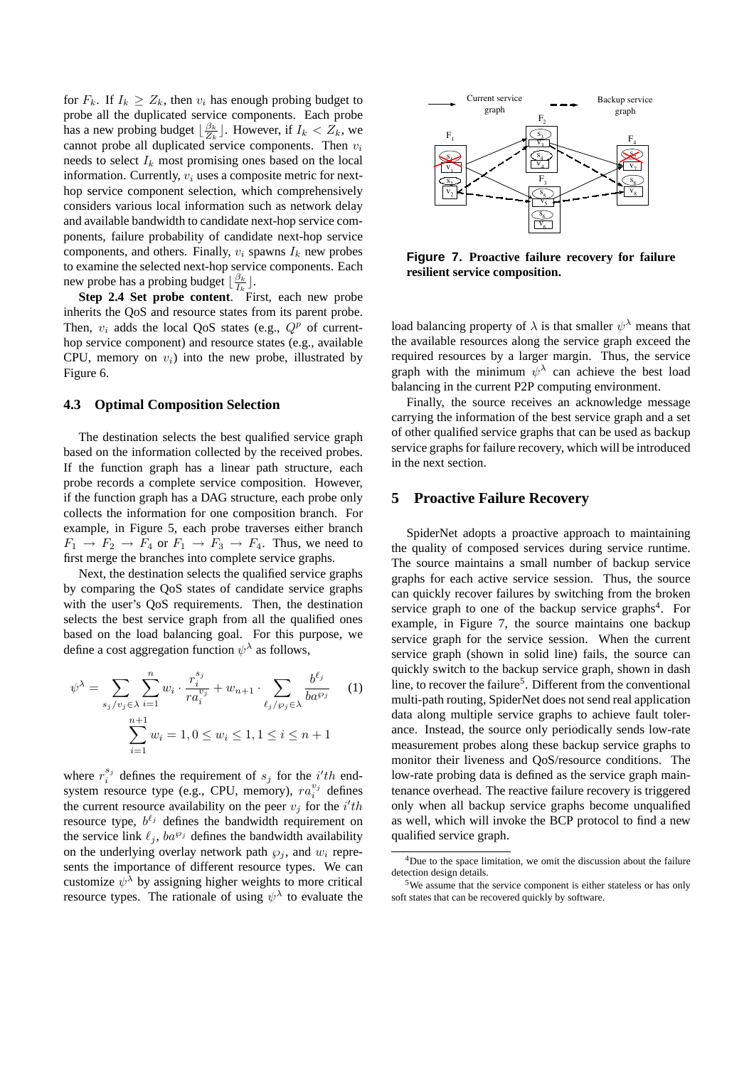for  $F_k$ . If  $I_k \geq Z_k$ , then  $v_i$  has enough probing budget to probe all the duplicated service components. Each probe has a new probing budget  $\lfloor \frac{\beta_k}{Z_k} \rfloor$ . However, if  $I_k < \overline{Z_k}$ , we cannot probe all duplicated service components. Then  $v_i$ needs to select  $I_k$  most promising ones based on the local information. Currently,  $v_i$  uses a composite metric for nexthop service component selection, which comprehensively considers various local information such as network delay and available bandwidth to candidate next-hop service components, failure probability of candidate next-hop service components, and others. Finally,  $v_i$  spawns  $I_k$  new probes to examine the selected next-hop service components. Each new probe has a probing budget  $\lfloor \frac{\beta_k}{I_k} \rfloor$ .

Step 2.4 Set probe content. First, each new probe inherits the QoS and resource states from its parent probe. Then,  $v_i$  adds the local QoS states (e.g.,  $Q^p$  of currenthop service component) and resource states (e.g., available CPU, memory on  $v_i$ ) into the new probe, illustrated by Figure 6.

#### **4.3 Optimal Composition Selection**

The destination selects the best qualified service graph based on the information collected by the received probes. If the function graph has a linear path structure, each probe records a complete service composition. However, if the function graph has a DAG structure, each probe only collects the information for one composition branch. For example, in Figure 5, each probe traverses either branch  $F_1 \rightarrow F_2 \rightarrow F_4$  or  $F_1 \rightarrow F_3 \rightarrow F_4$ . Thus, we need to first merge the branches into complete service graphs.

Next, the destination selects the qualified service graphs by comparing the QoS states of candidate service graphs with the user's QoS requirements. Then, the destination selects the best service graph from all the qualified ones based on the load balancing goal. For this purpose, we define a cost aggregation function  $\psi^{\lambda}$  as follows,

$$
\psi^{\lambda} = \sum_{s_j/v_j \in \lambda} \sum_{i=1}^n w_i \cdot \frac{r_i^{s_j}}{r a_i^{v_j}} + w_{n+1} \cdot \sum_{\ell_j/\wp_j \in \lambda} \frac{b^{\ell_j}}{b a^{\wp_j}} \qquad (1)
$$

$$
\sum_{i=1}^{n+1} w_i = 1, 0 \le w_i \le 1, 1 \le i \le n+1
$$

where  $r_i^{s_j}$  defines the requirement of  $s_j$  for the  $i'th$  endsystem resource type (e.g., CPU, memory),  $ra_i^{v_j}$  defines the current resource availability on the peer  $v_j$  for the i'th resource type,  $b^{\ell_j}$  defines the bandwidth requirement on the service link  $\ell_j$ ,  $ba^{\wp_j}$  defines the bandwidth availability on the underlying overlay network path  $\wp_j$ , and  $w_i$  represents the importance of different resource types. We can customize  $\psi^{\lambda}$  by assigning higher weights to more critical resource types. The rationale of using  $\psi^{\lambda}$  to evaluate the



**Figure 7. Proactive failure recovery for failure resilient service composition.**

load balancing property of  $\lambda$  is that smaller  $\psi^{\lambda}$  means that the available resources along the service graph exceed the required resources by a larger margin. Thus, the service graph with the minimum  $\psi^{\lambda}$  can achieve the best load balancing in the current P2P computing environment.

Finally, the source receives an acknowledge message carrying the information of the best service graph and a set of other qualified service graphs that can be used as backup service graphs for failure recovery, which will be introduced in the next section.

## **5 Proactive Failure Recovery**

SpiderNet adopts a proactive approach to maintaining the quality of composed services during service runtime. The source maintains a small number of backup service graphs for each active service session. Thus, the source can quickly recover failures by switching from the broken service graph to one of the backup service graphs<sup>4</sup>. For example, in Figure 7, the source maintains one backup service graph for the service session. When the current service graph (shown in solid line) fails, the source can quickly switch to the backup service graph, shown in dash line, to recover the failure<sup>5</sup>. Different from the conventional multi-path routing, SpiderNet does not send real application data along multiple service graphs to achieve fault tolerance. Instead, the source only periodically sends low-rate measurement probes along these backup service graphs to monitor their liveness and QoS/resource conditions. The low-rate probing data is defined as the service graph maintenance overhead. The reactive failure recovery is triggered only when all backup service graphs become unqualified as well, which will invoke the BCP protocol to find a new qualified service graph.

<sup>&</sup>lt;sup>4</sup>Due to the space limitation, we omit the discussion about the failure detection design details.

<sup>5</sup>We assume that the service component is either stateless or has only soft states that can be recovered quickly by software.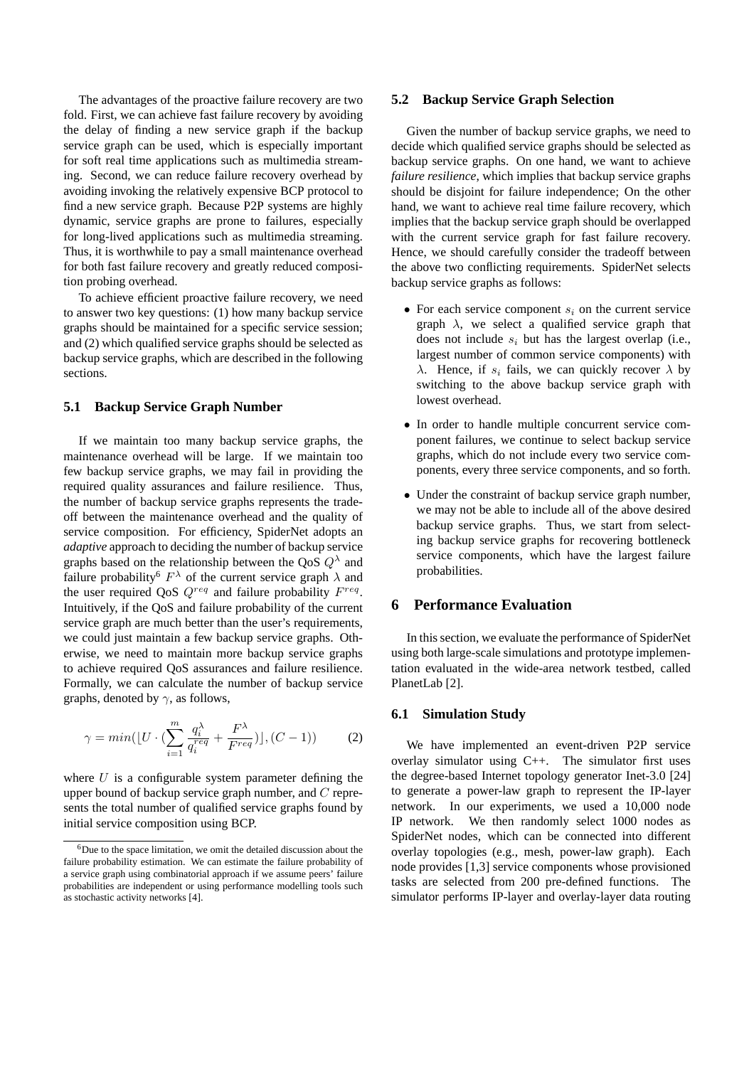The advantages of the proactive failure recovery are two fold. First, we can achieve fast failure recovery by avoiding the delay of finding a new service graph if the backup service graph can be used, which is especially important for soft real time applications such as multimedia streaming. Second, we can reduce failure recovery overhead by avoiding invoking the relatively expensive BCP protocol to find a new service graph. Because P2P systems are highly dynamic, service graphs are prone to failures, especially for long-lived applications such as multimedia streaming. Thus, it is worthwhile to pay a small maintenance overhead for both fast failure recovery and greatly reduced composition probing overhead.

To achieve efficient proactive failure recovery, we need to answer two key questions: (1) how many backup service graphs should be maintained for a specific service session; and (2) which qualified service graphs should be selected as backup service graphs, which are described in the following sections.

### **5.1 Backup Service Graph Number**

If we maintain too many backup service graphs, the maintenance overhead will be large. If we maintain too few backup service graphs, we may fail in providing the required quality assurances and failure resilience. Thus, the number of backup service graphs represents the tradeoff between the maintenance overhead and the quality of service composition. For efficiency, SpiderNet adopts an *adaptive* approach to deciding the number of backup service graphs based on the relationship between the QoS  $Q^{\lambda}$  and failure probability<sup>6</sup>  $F^{\lambda}$  of the current service graph  $\lambda$  and the user required QoS  $Q^{req}$  and failure probability  $F^{req}$ . Intuitively, if the QoS and failure probability of the current service graph are much better than the user's requirements, we could just maintain a few backup service graphs. Otherwise, we need to maintain more backup service graphs to achieve required QoS assurances and failure resilience. Formally, we can calculate the number of backup service graphs, denoted by  $\gamma$ , as follows,

$$
\gamma = \min(\lfloor U \cdot \left(\sum_{i=1}^{m} \frac{q_i^{\lambda}}{q_i^{req}} + \frac{F^{\lambda}}{F^{req}}\right)\rfloor, (C-1))
$$
 (2)

where  $U$  is a configurable system parameter defining the upper bound of backup service graph number, and C represents the total number of qualified service graphs found by initial service composition using BCP.

#### **5.2 Backup Service Graph Selection**

Given the number of backup service graphs, we need to decide which qualified service graphs should be selected as backup service graphs. On one hand, we want to achieve *failure resilience*, which implies that backup service graphs should be disjoint for failure independence; On the other hand, we want to achieve real time failure recovery, which implies that the backup service graph should be overlapped with the current service graph for fast failure recovery. Hence, we should carefully consider the tradeoff between the above two conflicting requirements. SpiderNet selects backup service graphs as follows:

- For each service component  $s_i$  on the current service graph  $\lambda$ , we select a qualified service graph that does not include  $s_i$  but has the largest overlap (i.e., largest number of common service components) with  $\lambda$ . Hence, if  $s_i$  fails, we can quickly recover  $\lambda$  by switching to the above backup service graph with lowest overhead.
- In order to handle multiple concurrent service component failures, we continue to select backup service graphs, which do not include every two service components, every three service components, and so forth.
- Under the constraint of backup service graph number, we may not be able to include all of the above desired backup service graphs. Thus, we start from selecting backup service graphs for recovering bottleneck service components, which have the largest failure probabilities.

# **6 Performance Evaluation**

In this section, we evaluate the performance of SpiderNet using both large-scale simulations and prototype implementation evaluated in the wide-area network testbed, called PlanetLab [2].

#### **6.1 Simulation Study**

We have implemented an event-driven P2P service overlay simulator using  $C_{++}$ . The simulator first uses the degree-based Internet topology generator Inet-3.0 [24] to generate a power-law graph to represent the IP-layer network. In our experiments, we used a 10,000 node IP network. We then randomly select 1000 nodes as SpiderNet nodes, which can be connected into different overlay topologies (e.g., mesh, power-law graph). Each node provides [1,3] service components whose provisioned tasks are selected from 200 pre-defined functions. The simulator performs IP-layer and overlay-layer data routing

<sup>6</sup>Due to the space limitation, we omit the detailed discussion about the failure probability estimation. We can estimate the failure probability of a service graph using combinatorial approach if we assume peers' failure probabilities are independent or using performance modelling tools such as stochastic activity networks [4].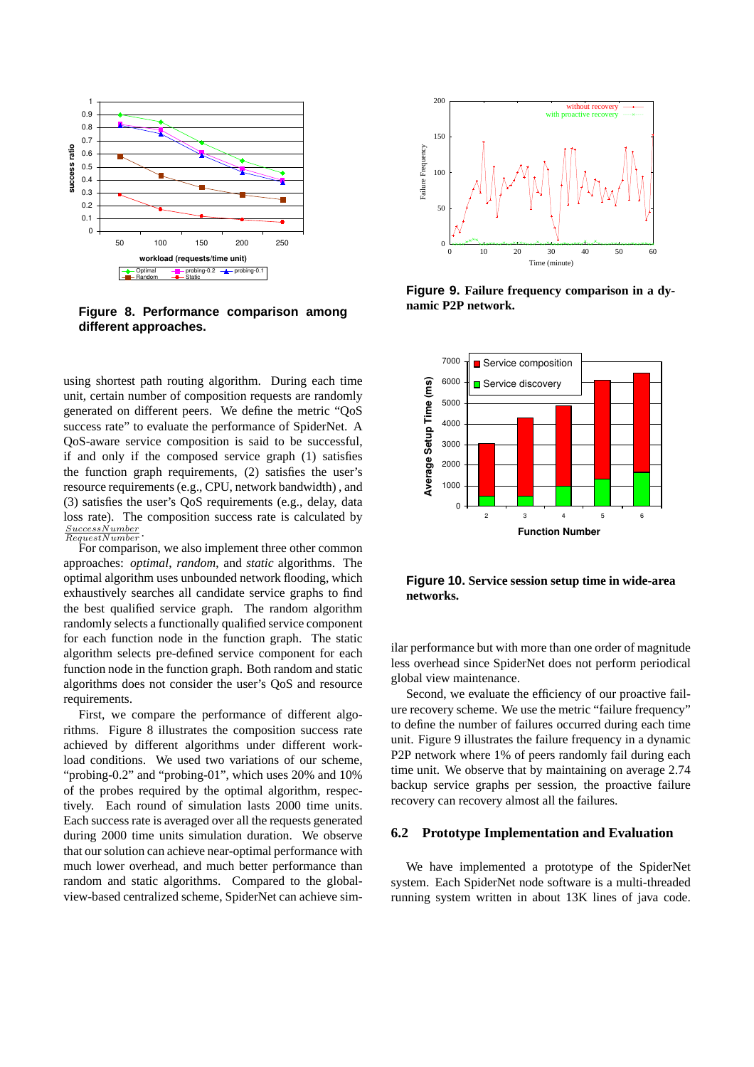

**Figure 8. Performance comparison among different approaches.**

using shortest path routing algorithm. During each time unit, certain number of composition requests are randomly generated on different peers. We define the metric "QoS success rate" to evaluate the performance of SpiderNet. A QoS-aware service composition is said to be successful, if and only if the composed service graph (1) satisfies the function graph requirements, (2) satisfies the user's resource requirements (e.g., CPU, network bandwidth) , and (3) satisfies the user's QoS requirements (e.g., delay, data loss rate). The composition success rate is calculated by SuccessNumber RequestNumber .

For comparison, we also implement three other common approaches: *optimal*, *random*, and *static* algorithms. The optimal algorithm uses unbounded network flooding, which exhaustively searches all candidate service graphs to find the best qualified service graph. The random algorithm randomly selects a functionally qualified service component for each function node in the function graph. The static algorithm selects pre-defined service component for each function node in the function graph. Both random and static algorithms does not consider the user's QoS and resource requirements.

First, we compare the performance of different algorithms. Figure 8 illustrates the composition success rate achieved by different algorithms under different workload conditions. We used two variations of our scheme, "probing-0.2" and "probing-01", which uses 20% and 10% of the probes required by the optimal algorithm, respectively. Each round of simulation lasts 2000 time units. Each success rate is averaged over all the requests generated during 2000 time units simulation duration. We observe that our solution can achieve near-optimal performance with much lower overhead, and much better performance than random and static algorithms. Compared to the globalview-based centralized scheme, SpiderNet can achieve sim-



**Figure 9. Failure frequency comparison in a dynamic P2P network.**



**Figure 10. Service session setup time in wide-area networks.**

ilar performance but with more than one order of magnitude less overhead since SpiderNet does not perform periodical global view maintenance.

Second, we evaluate the efficiency of our proactive failure recovery scheme. We use the metric "failure frequency" to define the number of failures occurred during each time unit. Figure 9 illustrates the failure frequency in a dynamic P2P network where 1% of peers randomly fail during each time unit. We observe that by maintaining on average 2.74 backup service graphs per session, the proactive failure recovery can recovery almost all the failures.

### **6.2 Prototype Implementation and Evaluation**

We have implemented a prototype of the SpiderNet system. Each SpiderNet node software is a multi-threaded running system written in about 13K lines of java code.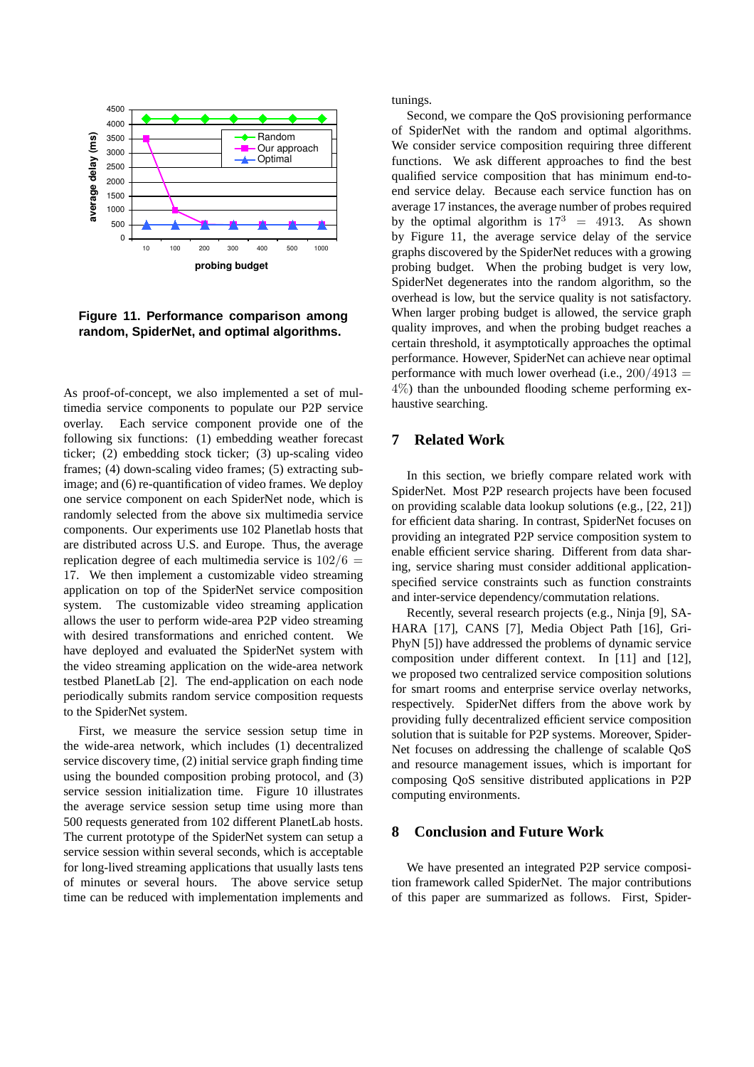

**Figure 11. Performance comparison among random, SpiderNet, and optimal algorithms.**

As proof-of-concept, we also implemented a set of multimedia service components to populate our P2P service overlay. Each service component provide one of the following six functions: (1) embedding weather forecast ticker; (2) embedding stock ticker; (3) up-scaling video frames; (4) down-scaling video frames; (5) extracting subimage; and (6) re-quantification of video frames. We deploy one service component on each SpiderNet node, which is randomly selected from the above six multimedia service components. Our experiments use 102 Planetlab hosts that are distributed across U.S. and Europe. Thus, the average replication degree of each multimedia service is  $102/6 =$ 17. We then implement a customizable video streaming application on top of the SpiderNet service composition system. The customizable video streaming application allows the user to perform wide-area P2P video streaming with desired transformations and enriched content. We have deployed and evaluated the SpiderNet system with the video streaming application on the wide-area network testbed PlanetLab [2]. The end-application on each node periodically submits random service composition requests to the SpiderNet system.

First, we measure the service session setup time in the wide-area network, which includes (1) decentralized service discovery time, (2) initial service graph finding time using the bounded composition probing protocol, and (3) service session initialization time. Figure 10 illustrates the average service session setup time using more than 500 requests generated from 102 different PlanetLab hosts. The current prototype of the SpiderNet system can setup a service session within several seconds, which is acceptable for long-lived streaming applications that usually lasts tens of minutes or several hours. The above service setup time can be reduced with implementation implements and tunings.

Second, we compare the QoS provisioning performance of SpiderNet with the random and optimal algorithms. We consider service composition requiring three different functions. We ask different approaches to find the best qualified service composition that has minimum end-toend service delay. Because each service function has on average 17 instances, the average number of probes required by the optimal algorithm is  $17^3 = 4913$ . As shown by Figure 11, the average service delay of the service graphs discovered by the SpiderNet reduces with a growing probing budget. When the probing budget is very low, SpiderNet degenerates into the random algorithm, so the overhead is low, but the service quality is not satisfactory. When larger probing budget is allowed, the service graph quality improves, and when the probing budget reaches a certain threshold, it asymptotically approaches the optimal performance. However, SpiderNet can achieve near optimal performance with much lower overhead (i.e.,  $200/4913 =$ 4%) than the unbounded flooding scheme performing exhaustive searching.

# **7 Related Work**

In this section, we briefly compare related work with SpiderNet. Most P2P research projects have been focused on providing scalable data lookup solutions (e.g., [22, 21]) for efficient data sharing. In contrast, SpiderNet focuses on providing an integrated P2P service composition system to enable efficient service sharing. Different from data sharing, service sharing must consider additional applicationspecified service constraints such as function constraints and inter-service dependency/commutation relations.

Recently, several research projects (e.g., Ninja [9], SA-HARA [17], CANS [7], Media Object Path [16], Gri-PhyN [5]) have addressed the problems of dynamic service composition under different context. In [11] and [12], we proposed two centralized service composition solutions for smart rooms and enterprise service overlay networks, respectively. SpiderNet differs from the above work by providing fully decentralized efficient service composition solution that is suitable for P2P systems. Moreover, Spider-Net focuses on addressing the challenge of scalable QoS and resource management issues, which is important for composing QoS sensitive distributed applications in P2P computing environments.

## **8 Conclusion and Future Work**

We have presented an integrated P2P service composition framework called SpiderNet. The major contributions of this paper are summarized as follows. First, Spider